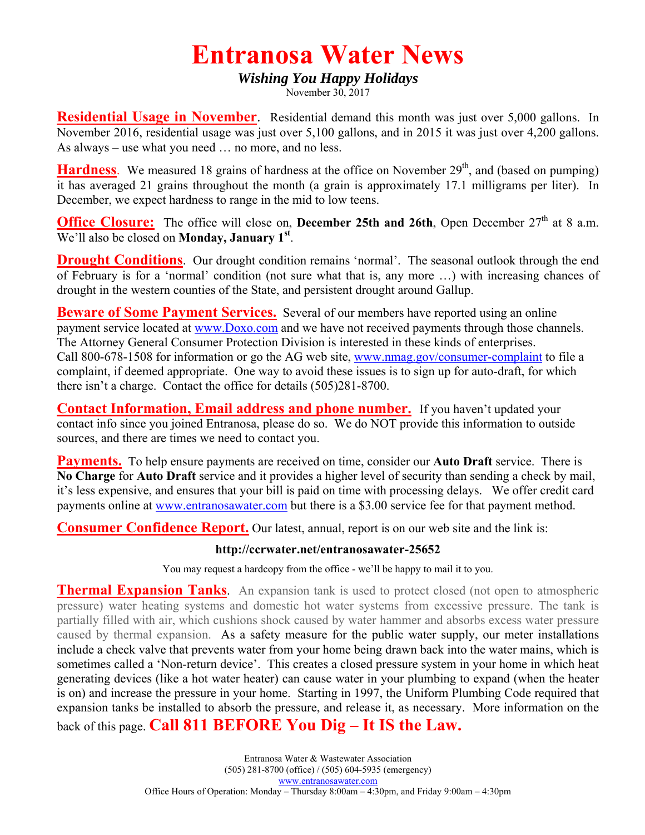## **Entranosa Water News**

## *Wishing You Happy Holidays*

November 30, 2017

**Residential Usage in November**. Residential demand this month was just over 5,000 gallons. In November 2016, residential usage was just over 5,100 gallons, and in 2015 it was just over 4,200 gallons. As always – use what you need … no more, and no less.

**Hardness**. We measured 18 grains of hardness at the office on November 29<sup>th</sup>, and (based on pumping) it has averaged 21 grains throughout the month (a grain is approximately 17.1 milligrams per liter). In December, we expect hardness to range in the mid to low teens.

**Office Closure:** The office will close on, **December 25th and 26th**, Open December 27<sup>th</sup> at 8 a.m. We'll also be closed on **Monday, January 1st**.

**Drought Conditions**. Our drought condition remains 'normal'. The seasonal outlook through the end of February is for a 'normal' condition (not sure what that is, any more …) with increasing chances of drought in the western counties of the State, and persistent drought around Gallup.

**Beware of Some Payment Services.** Several of our members have reported using an online payment service located at www.Doxo.com and we have not received payments through those channels. The Attorney General Consumer Protection Division is interested in these kinds of enterprises. Call 800-678-1508 for information or go the AG web site, www.nmag.gov/consumer-complaint to file a complaint, if deemed appropriate. One way to avoid these issues is to sign up for auto-draft, for which there isn't a charge. Contact the office for details (505)281-8700.

**Contact Information, Email address and phone number.** If you haven't updated your contact info since you joined Entranosa, please do so. We do NOT provide this information to outside sources, and there are times we need to contact you.

**Payments.** To help ensure payments are received on time, consider our **Auto Draft** service. There is **No Charge** for **Auto Draft** service and it provides a higher level of security than sending a check by mail, it's less expensive, and ensures that your bill is paid on time with processing delays. We offer credit card payments online at www.entranosawater.com but there is a \$3.00 service fee for that payment method.

**Consumer Confidence Report.** Our latest, annual, report is on our web site and the link is:

## **http://ccrwater.net/entranosawater-25652**

You may request a hardcopy from the office - we'll be happy to mail it to you.

**Thermal Expansion Tanks**. An expansion tank is used to protect closed (not open to atmospheric pressure) water heating systems and domestic hot water systems from excessive pressure. The tank is partially filled with air, which cushions shock caused by water hammer and absorbs excess water pressure caused by thermal expansion. As a safety measure for the public water supply, our meter installations include a check valve that prevents water from your home being drawn back into the water mains, which is sometimes called a 'Non-return device'. This creates a closed pressure system in your home in which heat generating devices (like a hot water heater) can cause water in your plumbing to expand (when the heater is on) and increase the pressure in your home. Starting in 1997, the Uniform Plumbing Code required that expansion tanks be installed to absorb the pressure, and release it, as necessary. More information on the back of this page. **Call 811 BEFORE You Dig – It IS the Law.**